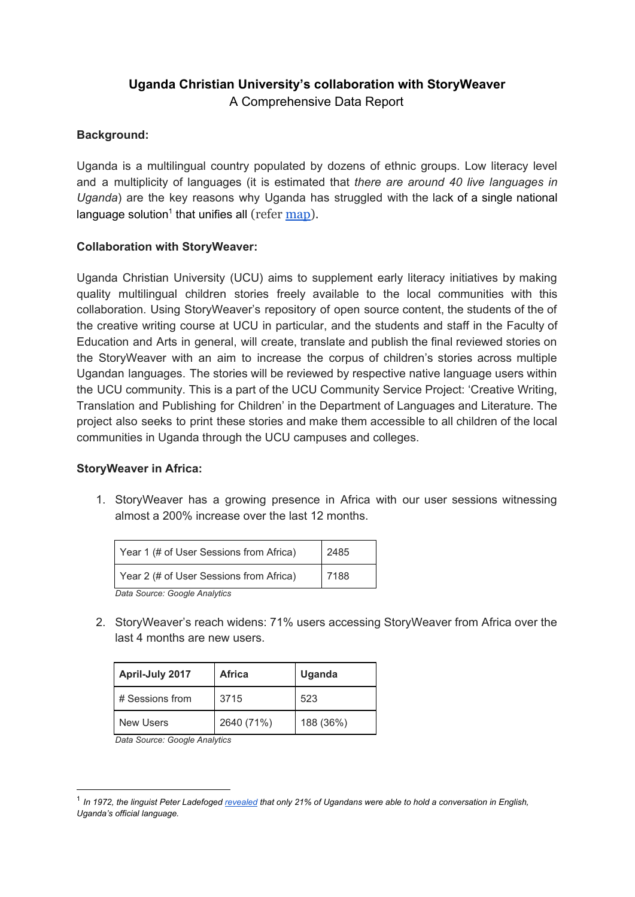# **Uganda Christian University's collaboration with StoryWeaver**

A Comprehensive Data Report

## **Background:**

Uganda is a multilingual country populated by dozens of ethnic groups. Low literacy level and a multiplicity of languages (it is estimated that *there are around 40 live languages in Uganda*) are the key reasons why Uganda has struggled with the lack of a single national language solution<sup>1</sup> that unifies all (refer [map\)](https://www.ethnologue.com/map/UG).

## **Collaboration with StoryWeaver:**

Uganda Christian University (UCU) aims to supplement early literacy initiatives by making quality multilingual children stories freely available to the local communities with this collaboration. Using StoryWeaver's repository of open source content, the students of the of the creative writing course at UCU in particular, and the students and staff in the Faculty of Education and Arts in general, will create, translate and publish the final reviewed stories on the StoryWeaver with an aim to increase the corpus of children's stories across multiple Ugandan languages. The stories will be reviewed by respective native language users within the UCU community. This is a part of the UCU Community Service Project: 'Creative Writing, Translation and Publishing for Children' in the Department of Languages and Literature. The project also seeks to print these stories and make them accessible to all children of the local communities in Uganda through the UCU campuses and colleges.

#### **StoryWeaver in Africa:**

1. StoryWeaver has a growing presence in Africa with our user sessions witnessing almost a 200% increase over the last 12 months.

| Year 1 (# of User Sessions from Africa) | 2485   |
|-----------------------------------------|--------|
| Year 2 (# of User Sessions from Africa) | l 7188 |
| Dota Cauros: Conala Analytica           |        |

*Data Source: Google Analytics*

2. StoryWeaver's reach widens: 71% users accessing StoryWeaver from Africa over the last 4 months are new users.

| <b>April-July 2017</b> | Africa     | Uganda    |
|------------------------|------------|-----------|
| # Sessions from        | 3715       | 523       |
| New Users              | 2640 (71%) | 188 (36%) |

*Data Source: Google Analytics*

 $^1$  In 1972, the linguist Peter Ladefoged <u>[revealed](https://books.google.co.za/books/about/Language_in_Uganda.html?id=6IcOAAAAYAAJ&redir_esc=y)</u> that only 21% of Ugandans were able to hold a conversation in English, *Uganda's official language.*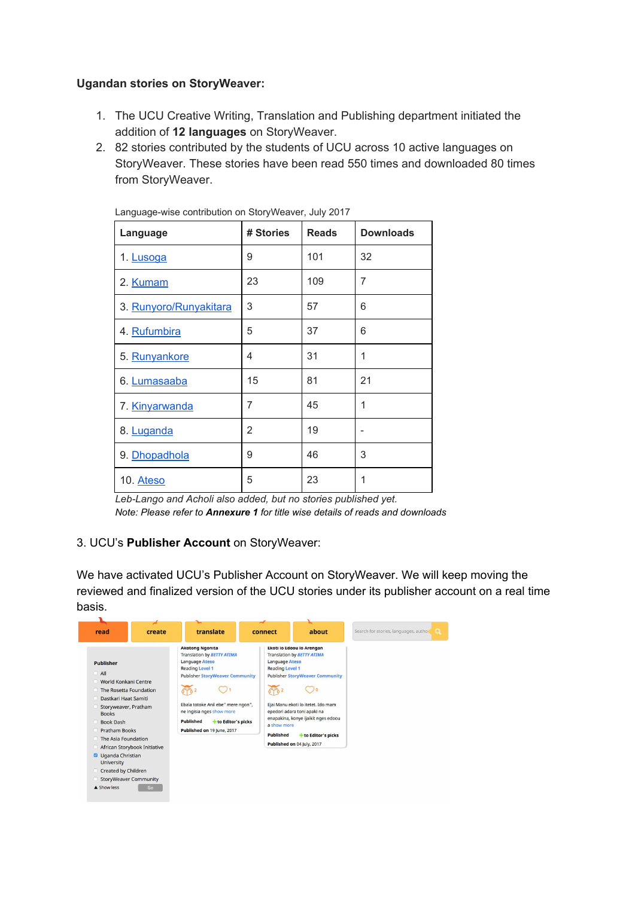#### **Ugandan stories on StoryWeaver:**

- 1. The UCU Creative Writing, Translation and Publishing department initiated the addition of **12 languages** on StoryWeaver.
- 2. 82 stories contributed by the students of UCU across 10 active languages on StoryWeaver. These stories have been read 550 times and downloaded 80 times from StoryWeaver.

| Language               | # Stories | <b>Reads</b> | <b>Downloads</b> |
|------------------------|-----------|--------------|------------------|
| 1. Lusoga              | 9         | 101          | 32               |
| 2. Kumam               | 23        | 109          | 7                |
| 3. Runyoro/Runyakitara | 3         | 57           | 6                |
| 4. Rufumbira           | 5         | 37           | 6                |
| 5. Runvankore          | 4         | 31           | 1                |
| 6. Lumasaaba           | 15        | 81           | 21               |
| 7. Kinvarwanda         | 7         | 45           | 1                |
| 8. Luganda             | 2         | 19           |                  |
| 9. Dhopadhola          | 9         | 46           | 3                |
| 10. Ateso              | 5         | 23           | 1                |

Language-wise contribution on StoryWeaver, July 2017

*Leb-Lango and Acholi also added, but no stories published yet. Note: Please refer to Annexure 1 for title wise details of reads and downloads*

## 3. UCU's **Publisher Account** on StoryWeaver:

We have activated UCU's Publisher Account on StoryWeaver. We will keep moving the reviewed and finalized version of the UCU stories under its publisher account on a real time basis.

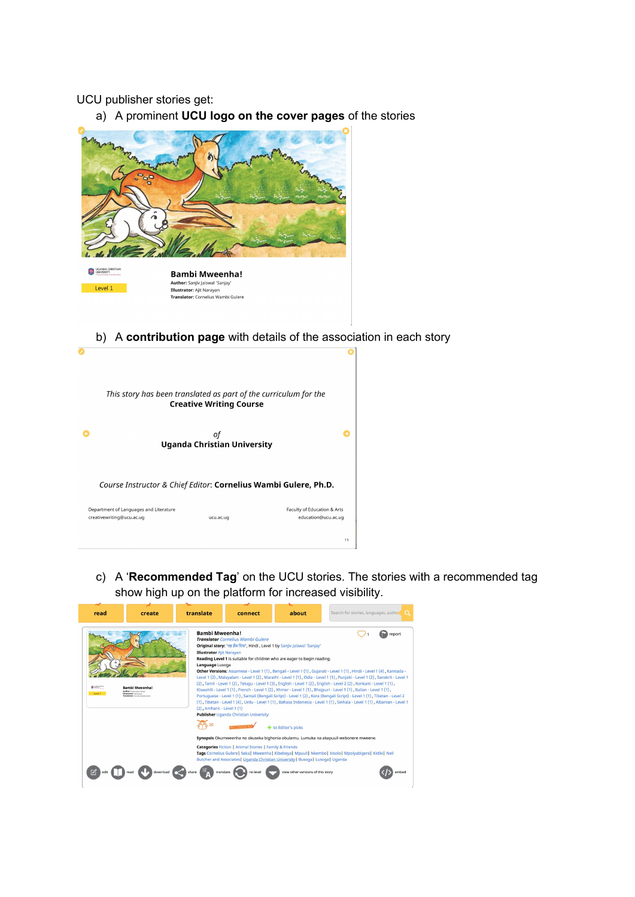#### UCU publisher stories get:

a) A prominent **UCU logo on the cover pages** of the stories



b) A **contribution page** with details of the association in each story

| This story has been translated as part of the curriculum for the    | <b>Creative Writing Course</b>           |                                                    |
|---------------------------------------------------------------------|------------------------------------------|----------------------------------------------------|
|                                                                     | οf<br><b>Uganda Christian University</b> |                                                    |
| Course Instructor & Chief Editor: Cornelius Wambi Gulere, Ph.D.     |                                          |                                                    |
| Department of Languages and Literature<br>creativewriting@ucu.ac.ug | ucu.ac.ug                                | Faculty of Education & Arts<br>education@ucu.ac.ug |
|                                                                     |                                          | 11                                                 |

c) A '**Recommended Tag**' on the UCU stories. The stories with a recommended tag show high up on the platform for increased visibility.

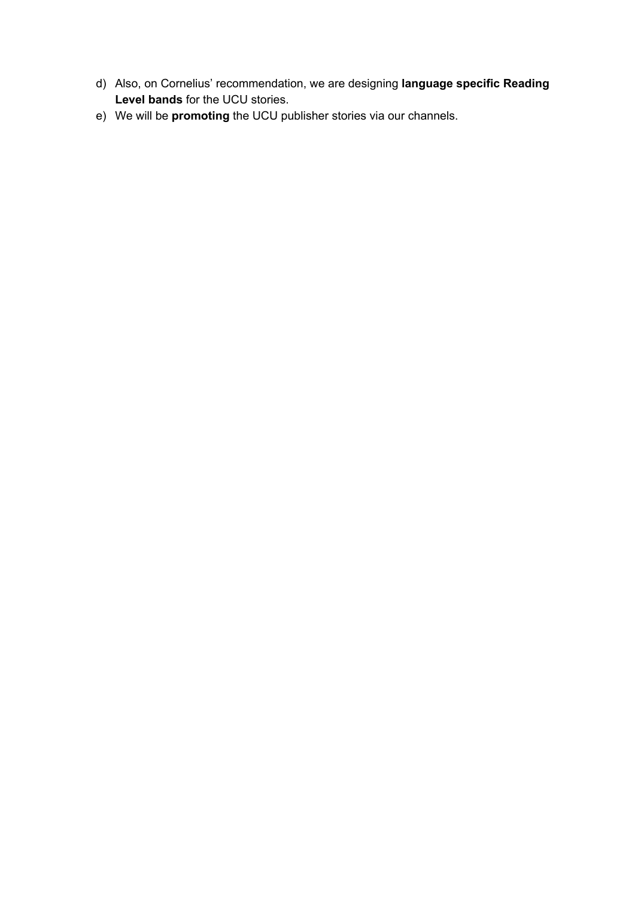- d) Also, on Cornelius' recommendation, we are designing **language specific Reading Level bands** for the UCU stories.
- e) We will be **promoting** the UCU publisher stories via our channels.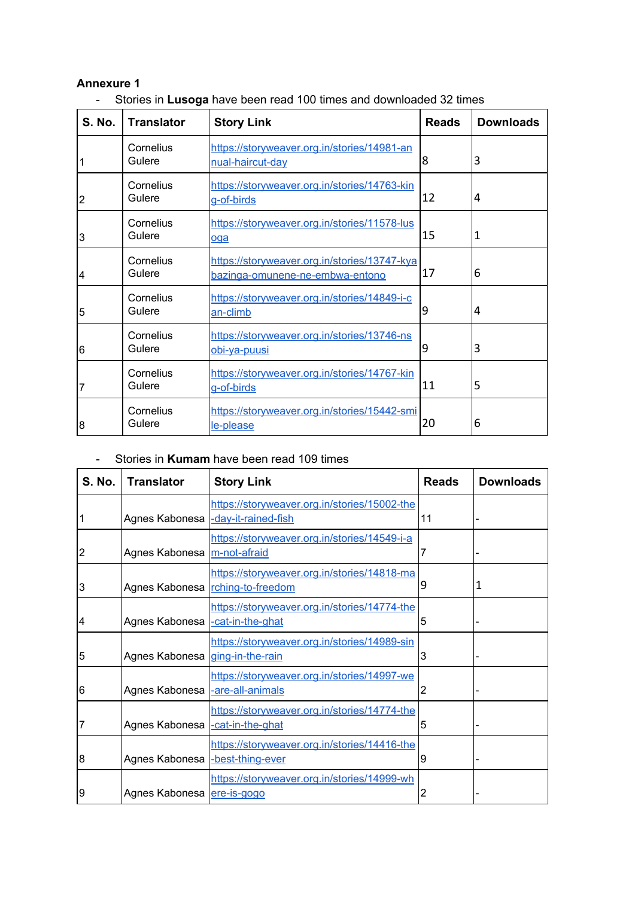#### **Annexure 1**

- Stories in **Lusoga** have been read 100 times and downloaded 32 times

| <b>S. No.</b>  | <b>Translator</b>   | <b>Story Link</b>                                                               | <b>Reads</b> | <b>Downloads</b> |
|----------------|---------------------|---------------------------------------------------------------------------------|--------------|------------------|
|                | Cornelius<br>Gulere | https://storyweaver.org.in/stories/14981-an<br>nual-haircut-day                 | 8            | 3                |
| $\overline{2}$ | Cornelius<br>Gulere | https://storyweaver.org.in/stories/14763-kin<br>g-of-birds                      | 12           | 4                |
| 3              | Cornelius<br>Gulere | https://storyweaver.org.in/stories/11578-lus<br>oga                             | 15           | 1                |
| $\overline{4}$ | Cornelius<br>Gulere | https://storyweaver.org.in/stories/13747-kya<br>bazinga-omunene-ne-embwa-entono | 17           | 6                |
| 5              | Cornelius<br>Gulere | https://storyweaver.org.in/stories/14849-i-c<br>an-climb                        | 9            | 4                |
| 6              | Cornelius<br>Gulere | https://storyweaver.org.in/stories/13746-ns<br><u>obi-va-puusi</u>              | 9            | 3                |
| 7              | Cornelius<br>Gulere | https://storyweaver.org.in/stories/14767-kin<br>g-of-birds                      | 11           | 5                |
| 8              | Cornelius<br>Gulere | https://storyweaver.org.in/stories/15442-smi<br>le-please                       | 20           | 6                |

### - Stories in **Kumam** have been read 109 times

| <b>S. No.</b> | <b>Translator</b>               | <b>Story Link</b>                                                               | <b>Reads</b> | <b>Downloads</b> |
|---------------|---------------------------------|---------------------------------------------------------------------------------|--------------|------------------|
|               | Agnes Kabonesa                  | https://storyweaver.org.in/stories/15002-the<br>-day-it-rained-fish             | 11           |                  |
| 2             | Agnes Kabonesa   m-not-afraid   | https://storyweaver.org.in/stories/14549-i-a                                    |              |                  |
| 3             |                                 | https://storyweaver.org.in/stories/14818-ma<br>Agnes Kabonesa rching-to-freedom | 9            | 1                |
| 4             | Agnes Kabonesa                  | https://storyweaver.org.in/stories/14774-the<br>-cat-in-the-ghat                | 5            |                  |
| 5             | Agnes Kabonesa ging-in-the-rain | https://storyweaver.org.in/stories/14989-sin                                    | 3            |                  |
| 6             | Agnes Kabonesa -are-all-animals | https://storyweaver.org.in/stories/14997-we                                     | 2            |                  |
| 7             | Agnes Kabonesa                  | https://storyweaver.org.in/stories/14774-the<br>-cat-in-the-ghat                | 5            |                  |
| 8             | Agnes Kabonesa                  | https://storyweaver.org.in/stories/14416-the<br>-best-thing-ever                | 9            |                  |
| 9             | Agnes Kabonesa ere-is-gogo      | https://storyweaver.org.in/stories/14999-wh                                     |              |                  |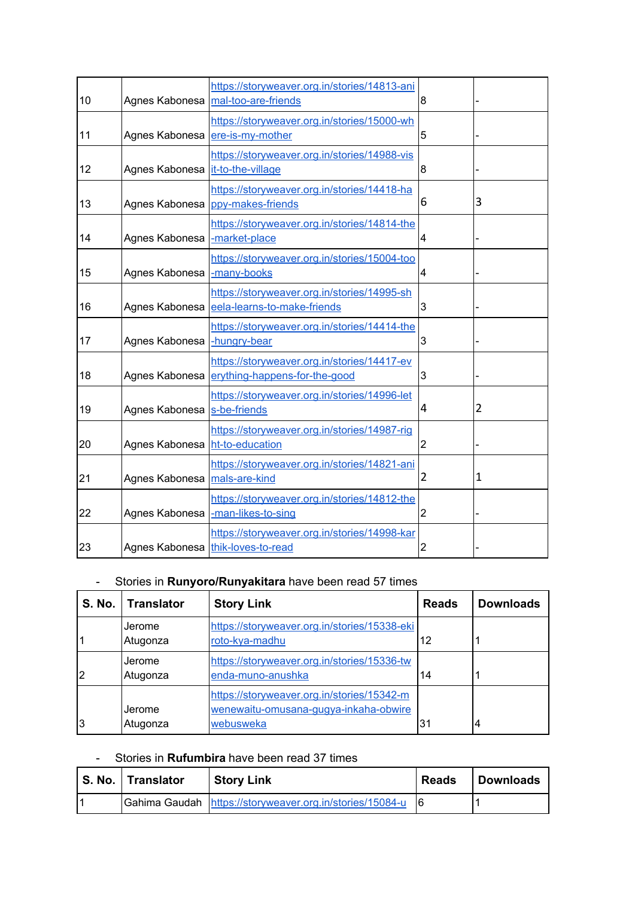| 10 | Agnes Kabonesa | https://storyweaver.org.in/stories/14813-ani<br>mal-too-are-friends               | 8 |                |
|----|----------------|-----------------------------------------------------------------------------------|---|----------------|
| 11 | Agnes Kabonesa | https://storyweaver.org.in/stories/15000-wh<br>ere-is-my-mother                   | 5 |                |
| 12 | Agnes Kabonesa | https://storyweaver.org.in/stories/14988-vis<br>it-to-the-village                 | 8 |                |
| 13 | Agnes Kabonesa | https://storyweaver.org.in/stories/14418-ha<br>ppy-makes-friends                  | 6 | 3              |
| 14 | Agnes Kabonesa | https://storyweaver.org.in/stories/14814-the<br>-market-place                     | 4 |                |
| 15 | Agnes Kabonesa | https://storyweaver.org.in/stories/15004-too<br>-many-books                       | 4 |                |
| 16 | Agnes Kabonesa | https://storyweaver.org.in/stories/14995-sh<br>eela-learns-to-make-friends        | 3 |                |
| 17 | Agnes Kabonesa | https://storyweaver.org.in/stories/14414-the<br>-hungry-bear                      | 3 |                |
| 18 | Agnes Kabonesa | https://storyweaver.org.in/stories/14417-ev<br>erything-happens-for-the-good      | 3 |                |
| 19 | Agnes Kabonesa | https://storyweaver.org.in/stories/14996-let<br>s-be-friends                      | 4 | $\overline{2}$ |
| 20 | Agnes Kabonesa | https://storyweaver.org.in/stories/14987-rig<br>ht-to-education                   | 2 |                |
| 21 | Agnes Kabonesa | https://storyweaver.org.in/stories/14821-ani<br>mals-are-kind                     | 2 | $\mathbf{1}$   |
| 22 | Agnes Kabonesa | https://storyweaver.org.in/stories/14812-the<br>-man-likes-to-sing                | 2 |                |
| 23 |                | https://storyweaver.org.in/stories/14998-kar<br>Agnes Kabonesa thik-loves-to-read | 2 |                |

# - Stories in **Runyoro/Runyakitara** have been read 57 times

|                | S. No.   Translator | <b>Story Link</b>                                                                                | <b>Reads</b> | <b>Downloads</b> |
|----------------|---------------------|--------------------------------------------------------------------------------------------------|--------------|------------------|
|                | Jerome<br>Atugonza  | https://storyweaver.org.in/stories/15338-eki<br>roto-kya-madhu                                   | 12           |                  |
| $\overline{2}$ | Jerome<br>Atugonza  | https://storyweaver.org.in/stories/15336-tw<br>enda-muno-anushka                                 | 14           |                  |
| 3              | Jerome<br>Atugonza  | https://storyweaver.org.in/stories/15342-m<br>wenewaitu-omusana-gugya-inkaha-obwire<br>webusweka | ∣31          | 4                |

#### - Stories in **Rufumbira** have been read 37 times

| S. No.   Translator | <b>Story Link</b>                                          | <b>Reads</b> | <b>Downloads</b> |
|---------------------|------------------------------------------------------------|--------------|------------------|
|                     | Gahima Gaudah https://storyweaver.org.in/stories/15084-u 6 |              |                  |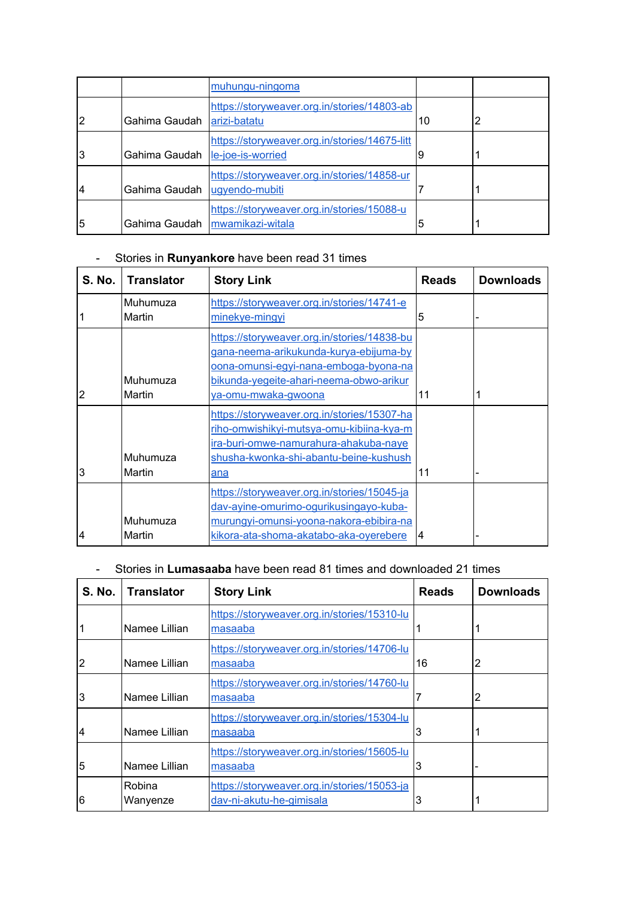|   |                                 | muhungu-ningoma                                                                |    |  |
|---|---------------------------------|--------------------------------------------------------------------------------|----|--|
| 2 | Gahima Gaudah                   | https://storyweaver.org.in/stories/14803-ab<br>arizi-batatu                    | 10 |  |
| 3 | Gahima Gaudah le-joe-is-worried | https://storyweaver.org.in/stories/14675-litt                                  |    |  |
| 4 | Gahima Gaudah ugyendo-mubiti    | https://storyweaver.org.in/stories/14858-ur                                    |    |  |
| 5 |                                 | https://storyweaver.org.in/stories/15088-u<br>Gahima Gaudah   mwamikazi-witala | 5  |  |

# - Stories in **Runyankore** have been read 31 times

| S. No. | <b>Translator</b>  | <b>Story Link</b>                                                                                                                                                                                | <b>Reads</b> | <b>Downloads</b> |
|--------|--------------------|--------------------------------------------------------------------------------------------------------------------------------------------------------------------------------------------------|--------------|------------------|
|        | Muhumuza<br>Martin | https://storyweaver.org.in/stories/14741-e<br>minekye-mingyi                                                                                                                                     | 5            |                  |
| 2      | Muhumuza<br>Martin | https://storyweaver.org.in/stories/14838-bu<br>gana-neema-arikukunda-kurya-ebijuma-by<br>oona-omunsi-eqvi-nana-emboga-byona-na<br>bikunda-yegeite-ahari-neema-obwo-arikur<br>ya-omu-mwaka-gwoona | 11           |                  |
| 3      | Muhumuza<br>Martin | https://storyweaver.org.in/stories/15307-ha<br>riho-omwishikyi-mutsya-omu-kibiina-kya-m<br>ira-buri-omwe-namurahura-ahakuba-naye<br>shusha-kwonka-shi-abantu-beine-kushush<br>ana                | 11           |                  |
| 4      | Muhumuza<br>Martin | https://storyweaver.org.in/stories/15045-ja<br>dav-ayine-omurimo-ogurikusingayo-kuba-<br>murungyi-omunsi-yoona-nakora-ebibira-na<br>kikora-ata-shoma-akatabo-aka-oyerebere                       | 14           |                  |

# - Stories in **Lumasaaba** have been read 81 times and downloaded 21 times

| <b>S. No.</b>  | <b>Translator</b>  | <b>Story Link</b>                                                       | <b>Reads</b> | <b>Downloads</b> |
|----------------|--------------------|-------------------------------------------------------------------------|--------------|------------------|
|                | Namee Lillian      | https://storyweaver.org.in/stories/15310-lu<br>masaaba                  |              |                  |
| $\overline{2}$ | Namee Lillian      | https://storyweaver.org.in/stories/14706-lu<br>masaaba                  | 16           | 2                |
| 3              | Namee Lillian      | https://storyweaver.org.in/stories/14760-lu<br>masaaba                  |              | 2                |
| $\overline{4}$ | Namee Lillian      | https://storyweaver.org.in/stories/15304-lu<br>masaaba                  | 3            |                  |
| 5              | Namee Lillian      | https://storyweaver.org.in/stories/15605-lu<br>masaaba                  | 3            |                  |
| 6              | Robina<br>Wanyenze | https://storyweaver.org.in/stories/15053-ja<br>dav-ni-akutu-he-gimisala | 3            |                  |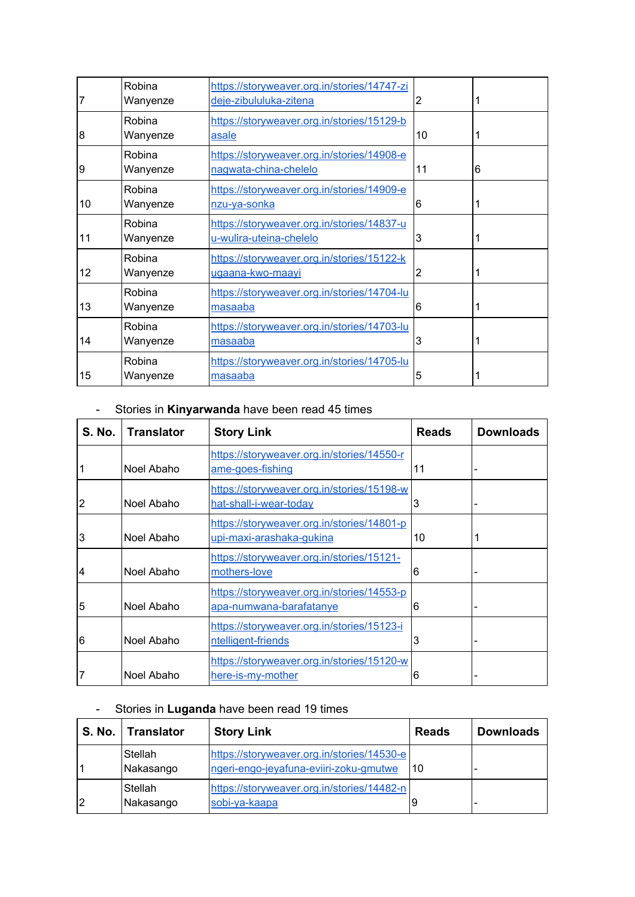| 7              | Robina<br>Wanyenze | https://storyweaver.org.in/stories/14747-zi<br>deje-zibululuka-zitena | 2  |   |
|----------------|--------------------|-----------------------------------------------------------------------|----|---|
| $\overline{8}$ | Robina<br>Wanyenze | https://storyweaver.org.in/stories/15129-b<br><b>asale</b>            | 10 |   |
| 9              | Robina<br>Wanyenze | https://storyweaver.org.in/stories/14908-e<br>nagwata-china-chelelo   | 11 | 6 |
| 10             | Robina<br>Wanyenze | https://storyweaver.org.in/stories/14909-e<br><u>nzu-ya-sonka</u>     | 6  |   |
| 11             | Robina<br>Wanyenze | https://storyweaver.org.in/stories/14837-u<br>u-wulira-uteina-chelelo | 3  |   |
| 12             | Robina<br>Wanyenze | https://storyweaver.org.in/stories/15122-k<br>ugaana-kwo-maayi        | 2  |   |
| 13             | Robina<br>Wanyenze | https://storyweaver.org.in/stories/14704-lu<br>masaaba                | 6  |   |
| 14             | Robina<br>Wanyenze | https://storyweaver.org.in/stories/14703-lu<br>masaaba                | 3  |   |
| 15             | Robina<br>Wanyenze | https://storyweaver.org.in/stories/14705-lu<br><u>masaaba</u>         | 5  |   |

# - Stories in **Kinyarwanda** have been read 45 times

| <b>S. No.</b>  | <b>Translator</b> | <b>Story Link</b>                                                            | <b>Reads</b> | <b>Downloads</b> |
|----------------|-------------------|------------------------------------------------------------------------------|--------------|------------------|
|                | Noel Abaho        | https://storyweaver.org.in/stories/14550-r<br>ame-goes-fishing               | 11           |                  |
| 2              | Noel Abaho        | https://storyweaver.org.in/stories/15198-w<br>hat-shall-i-wear-today         | 3            |                  |
| 3              | Noel Abaho        | https://storyweaver.org.in/stories/14801-p<br>upi-maxi-arashaka-gukina       | 10           |                  |
| $\overline{4}$ | Noel Abaho        | https://storyweaver.org.in/stories/15121-<br>mothers-love                    | 6            |                  |
| 5              | Noel Abaho        | https://storyweaver.org.in/stories/14553-p<br><u>apa-numwana-barafatanye</u> | 6            |                  |
| 6              | Noel Abaho        | https://storyweaver.org.in/stories/15123-i<br>ntelligent-friends             | 3            |                  |
| 7              | Noel Abaho        | https://storyweaver.org.in/stories/15120-w<br>here-is-my-mother              | 6            |                  |

# - Stories in **Luganda** have been read 19 times

| <b>S. No.</b> | <b>Translator</b>           | <b>Story Link</b>                                                                    | <b>Reads</b> | <b>Downloads</b> |
|---------------|-----------------------------|--------------------------------------------------------------------------------------|--------------|------------------|
|               | <b>Stellah</b><br>Nakasango | https://storyweaver.org.in/stories/14530-e<br>ngeri-engo-jeyafuna-eviiri-zoku-gmutwe | 10           |                  |
| l2            | Stellah<br>Nakasango        | https://storyweaver.org.in/stories/14482-n<br>sobi-ya-kaapa                          |              |                  |